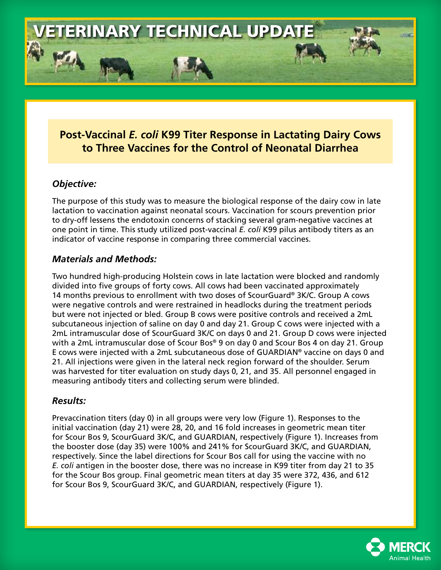

# **Post-Vaccinal** *E. coli* **K99 Titer Response in Lactating Dairy Cows to Three Vaccines for the Control of Neonatal Diarrhea**

### *Objective:*

The purpose of this study was to measure the biological response of the dairy cow in late lactation to vaccination against neonatal scours. Vaccination for scours prevention prior to dry-off lessens the endotoxin concerns of stacking several gram-negative vaccines at one point in time. This study utilized post-vaccinal *E. coli* K99 pilus antibody titers as an indicator of vaccine response in comparing three commercial vaccines.

## *Materials and Methods:*

Two hundred high-producing Holstein cows in late lactation were blocked and randomly divided into five groups of forty cows. All cows had been vaccinated approximately 14 months previous to enrollment with two doses of ScourGuard® 3K/C. Group A cows were negative controls and were restrained in headlocks during the treatment periods but were not injected or bled. Group B cows were positive controls and received a 2mL subcutaneous injection of saline on day 0 and day 21. Group C cows were injected with a 2mL intramuscular dose of ScourGuard 3K/C on days 0 and 21. Group D cows were injected with a 2mL intramuscular dose of Scour Bos® 9 on day 0 and Scour Bos 4 on day 21. Group E cows were injected with a 2mL subcutaneous dose of GUARDIAN® vaccine on days 0 and 21. All injections were given in the lateral neck region forward of the shoulder. Serum was harvested for titer evaluation on study days 0, 21, and 35. All personnel engaged in measuring antibody titers and collecting serum were blinded.

### *Results:*

Prevaccination titers (day 0) in all groups were very low (Figure 1). Responses to the initial vaccination (day 21) were 28, 20, and 16 fold increases in geometric mean titer for Scour Bos 9, ScourGuard 3K/C, and GUARDIAN, respectively (Figure 1). Increases from the booster dose (day 35) were 100% and 241% for ScourGuard 3K/C, and GUARDIAN, respectively. Since the label directions for Scour Bos call for using the vaccine with no *E. coli* antigen in the booster dose, there was no increase in K99 titer from day 21 to 35 for the Scour Bos group. Final geometric mean titers at day 35 were 372, 436, and 612 for Scour Bos 9, ScourGuard 3K/C, and GUARDIAN, respectively (Figure 1).